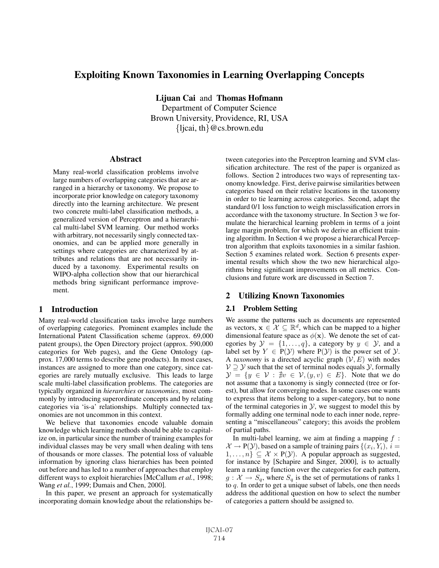# Exploiting Known Taxonomies in Learning Overlapping Concepts

Lijuan Cai and Thomas Hofmann Department of Computer Science Brown University, Providence, RI, USA  $\{ljcai, th\}$ @cs.brown.edu

#### **Abstract**

Many real-world classification problems involve large numbers of overlapping categories that are arranged in a hierarchy or taxonomy. We propose to incorporate prior knowledge on category taxonomy directly into the learning architecture. We present two concrete multi-label classification methods, a generalized version of Perceptron and a hierarchical multi-label SVM learning. Our method works with arbitrary, not necessarily singly connected taxonomies, and can be applied more generally in settings where categories are characterized by attributes and relations that are not necessarily induced by a taxonomy. Experimental results on WIPO-alpha collection show that our hierarchical methods bring significant performance improvement.

## 1 Introduction

Many real-world classification tasks involve large numbers of overlapping categories. Prominent examples include the International Patent Classification scheme (approx. 69,000 patent groups), the Open Directory project (approx. 590,000 categories for Web pages), and the Gene Ontology (approx. 17,000 terms to describe gene products). In most cases, instances are assigned to more than one category, since categories are rarely mutually exclusive. This leads to large scale multi-label classification problems. The categories are typically organized in *hierarchies* or *taxonomies*, most commonly by introducing superordinate concepts and by relating categories via 'is-a' relationships. Multiply connected taxonomies are not uncommon in this context.

We believe that taxonomies encode valuable domain knowledge which learning methods should be able to capitalize on, in particular since the number of training examples for individual classes may be very small when dealing with tens of thousands or more classes. The potential loss of valuable information by ignoring class hierarchies has been pointed out before and has led to a number of approaches that employ different ways to exploit hierarchies [McCallum *et al.*, 1998; Wang *et al.*, 1999; Dumais and Chen, 2000].

In this paper, we present an approach for systematically incorporating domain knowledge about the relationships between categories into the Perceptron learning and SVM classification architecture. The rest of the paper is organized as follows. Section 2 introduces two ways of representing taxonomy knowledge. First, derive pairwise similarities between categories based on their relative locations in the taxonomy in order to tie learning across categories. Second, adapt the standard 0/1 loss function to weigh misclassification errors in accordance with the taxonomy structure. In Section 3 we formulate the hierarchical learning problem in terms of a joint large margin problem, for which we derive an efficient training algorithm. In Section 4 we propose a hierarchical Perceptron algorithm that exploits taxonomies in a similar fashion. Section 5 examines related work. Section 6 presents experimental results which show the two new hierarchical algorithms bring significant improvements on all metrics. Conclusions and future work are discussed in Section 7.

# 2 Utilizing Known Taxonomies

#### 2.1 Problem Setting

We assume the patterns such as documents are represented as vectors,  $\mathbf{x} \in \mathcal{X} \subseteq \mathbb{R}^d$ , which can be mapped to a higher dimensional feature space as  $\phi(\mathbf{x})$ . We denote the set of categories by  $\mathcal{Y} = \{1, \ldots, q\}$ , a category by  $y \in \mathcal{Y}$ , and a label set by  $Y \in P(Y)$  where  $P(Y)$  is the power set of  $Y$ . A *taxonomy* is a directed acyclic graph  $(V, E)$  with nodes  $V \supseteq Y$  such that the set of terminal nodes equals  $Y$ , formally  $\mathcal{Y} = \{y \in \mathcal{V} : \nexists w \in \mathcal{V}, (y, v) \in E\}$ . Note that we do not assume that a taxonomy is singly connected (tree or fornot assume that a taxonomy is singly connected (tree or forest), but allow for converging nodes. In some cases one wants to express that items belong to a super-category, but to none of the terminal categories in  $\mathcal{Y}$ , we suggest to model this by formally adding one terminal node to each inner node, representing a "miscellaneous" category; this avoids the problem of partial paths.

In multi-label learning, we aim at finding a mapping  $f$ :  $\mathcal{X} \to \mathrm{P}(\mathcal{Y})$ , based on a sample of training pairs  $\{(x_i, Y_i), i =$  $1,\ldots,n$   $\subseteq \mathcal{X} \times P(\mathcal{Y})$ . A popular approach as suggested, for instance by [Schapire and Singer, 2000], is to actually learn a ranking function over the categories for each pattern,  $g: \mathcal{X} \to S_q$ , where  $S_q$  is the set of permutations of ranks 1 to  $q$ . In order to get a unique subset of labels, one then needs address the additional question on how to select the number of categories a pattern should be assigned to.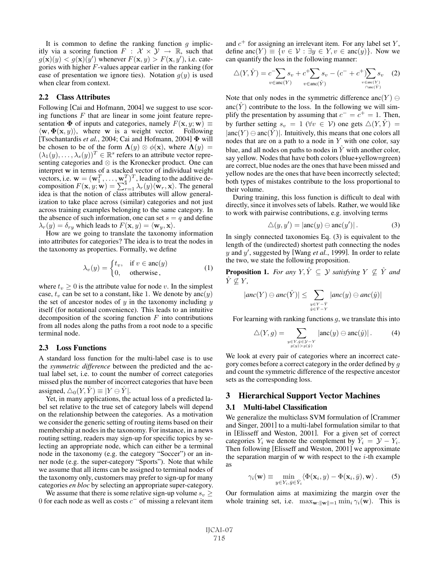It is common to define the ranking function  $q$  implicitly via a scoring function  $F : \mathcal{X} \times \mathcal{Y} \rightarrow \mathbb{R}$ , such that  $g(\mathbf{x})(y) < g(\mathbf{x})(y')$  whenever  $F(\mathbf{x}, y) > F(\mathbf{x}, y')$ , i.e. cate-<br>gories with higher *F*-values appear earlier in the ranking (for gories with higher  $F$ -values appear earlier in the ranking (for ease of presentation we ignore ties). Notation  $g(y)$  is used when clear from context.

### 2.2 Class Attributes

Following [Cai and Hofmann, 2004] we suggest to use scoring functions  $F$  that are linear in some joint feature representation  $\Phi$  of inputs and categories, namely  $F(\mathbf{x}, y; \mathbf{w}) \equiv$  $\langle \mathbf{w}, \mathbf{\Phi}(\mathbf{x}, y) \rangle$ , where **w** is a weight vector. Following [Tsochantardis *et al.*, 2004; Cai and Hofmann, 2004] **Φ** will be chosen to be of the form  $\Lambda(y) \otimes \phi(\mathbf{x})$ , where  $\Lambda(y) = (\lambda_1(y) - \lambda_2(y))^T \in \mathbb{R}^s$  refers to an attribute vector repre- $(\lambda_1(y), \ldots, \lambda_s(y))^T \in \mathbb{R}^s$  refers to an attribute vector repre-<br>senting categories and  $\otimes$  is the Kronecker product. One can senting categories and ⊗ is the Kronecker product. One can interpret **w** in terms of a stacked vector of individual weight vectors, i.e.  $\mathbf{w} = (\mathbf{w}_1^T, \dots, \mathbf{w}_s^T)^T$ , leading to the additive decomposition  $F(\mathbf{x} | \boldsymbol{w} | \mathbf{w}) = \sum_{k=1}^{s} \lambda_k(\boldsymbol{u}) (\mathbf{w}_k | \mathbf{x})$ . The general composition  $F(\mathbf{x}, y; \mathbf{w}) = \sum_{r=1}^{3} \lambda_r(y) \langle \mathbf{w}_r, \mathbf{x} \rangle$ . The general idea is that the notion of class attributes will allow generalidea is that the notion of class attributes will allow generalization to take place across (similar) categories and not just across training examples belonging to the same category. In the absence of such information, one can set  $s = q$  and define  $\lambda_r(y) = \delta_{ry}$  which leads to  $F(\mathbf{x}, y) = \langle \mathbf{w}_y, \mathbf{x} \rangle$ .

How are we going to translate the taxonomy information into attributes for categories? The idea is to treat the nodes in the taxonomy as properties. Formally, we define

$$
\lambda_v(y) = \begin{cases} t_v, & \text{if } v \in \text{anc}(y) \\ 0, & \text{otherwise} \end{cases}
$$
 (1)

where  $t_v \geq 0$  is the attribute value for node v. In the simplest case,  $t_v$  can be set to a constant, like 1. We denote by anc $(y)$ the set of ancestor nodes of  $y$  in the taxonomy including  $y$ itself (for notational convenience). This leads to an intuitive decomposition of the scoring function  $F$  into contributions from all nodes along the paths from a root node to a specific terminal node.

#### 2.3 Loss Functions

A standard loss function for the multi-label case is to use the *symmetric difference* between the predicted and the actual label set, i.e. to count the number of correct categories missed plus the number of incorrect categories that have been assigned,  $\triangle_0(Y, \hat{Y}) \equiv |Y \ominus \hat{Y}|$ .

Yet, in many applications, the actual loss of a predicted label set relative to the true set of category labels will depend on the relationship between the categories. As a motivation we consider the generic setting of routing items based on their membership at nodes in the taxonomy. For instance, in a news routing setting, readers may sign-up for specific topics by selecting an appropriate node, which can either be a terminal node in the taxonomy (e.g. the category "Soccer") or an inner node (e.g. the super-category "Sports"). Note that while we assume that all items can be assigned to terminal nodes of the taxonomy only, customers may prefer to sign-up for many categories *en bloc* by selecting an appropriate super-category.

We assume that there is some relative sign-up volume  $s_v \geq$ 0 for each node as well as costs  $c^-$  of missing a relevant item and  $c^{+}$  for assigning an irrelevant item. For any label set Y, define anc $(Y) \equiv \{v \in V : \exists y \in Y, v \in \text{anc}(y)\}\$ . Now we can quantify the loss in the following manner:

$$
\triangle(Y,\hat{Y}) = c \sum_{v \in \text{anc}(Y)} s_v + c^+ \sum_{v \in \text{anc}(\hat{Y})} s_v - (c^- + c^+) \sum_{v \in \text{anc}(Y)} s_v \quad (2)
$$

Note that only nodes in the symmetric difference anc $(Y) \ominus$ anc $(\hat{Y})$  contribute to the loss. In the following we will simplify the presentation by assuming that  $c^- = c^+ = 1$ . Then, by further setting  $s_v = 1$  ( $\forall v \in V$ ) one gets  $\triangle(Y, \hat{Y}) =$  $|anc(Y) \ominus anc(Y)|$ . Intuitively, this means that one colors all nodes that are on a path to a node in  $Y$  with one color, say blue, and all nodes on paths to nodes in  $\hat{Y}$  with another color, say yellow. Nodes that have both colors (blue+yellow=green) are correct, blue nodes are the ones that have been missed and yellow nodes are the ones that have been incorrectly selected; both types of mistakes contribute to the loss proportional to their volume.

During training, this loss function is difficult to deal with directly, since it involves sets of labels. Rather, we would like to work with pairwise contributions, e.g. involving terms

$$
\triangle(y, y') = |\text{anc}(y) \ominus \text{anc}(y')|.
$$
 (3)

In singly connected taxonomies Eq. (3) is equivalent to the length of the (undirected) shortest path connecting the nodes  $y$  and  $y'$ , suggested by [Wang *et al.*, 1999]. In order to relate the two we state the following proposition the two, we state the following proposition.

**Proposition 1.** *For any*  $Y, \hat{Y} \subseteq Y$  *satisfying*  $Y \nsubseteq \hat{Y}$  *and*  $\hat{Y} \nsubseteq Y$ ,

$$
|anc(Y) \ominus anc(\hat{Y})| \leq \sum_{\substack{y \in Y - \hat{Y} \\ \hat{y} \in \hat{Y} - Y}} |anc(y) \ominus anc(\hat{y})|
$$

For learning with ranking functions  $g$ , we translate this into

$$
\triangle(Y, g) = \sum_{\substack{y \in Y, \hat{y} \in \mathcal{Y} - Y \\ g(y) > g(\hat{y})}} |\text{anc}(y) \ominus \text{anc}(\hat{y})|.
$$
 (4)

We look at every pair of categories where an incorrect category comes before a correct category in the order defined by g and count the symmetric difference of the respective ancestor sets as the corresponding loss.

#### 3 Hierarchical Support Vector Machines

#### 3.1 Multi-label Classification

We generalize the multiclass SVM formulation of [Crammer and Singer, 2001] to a multi-label formulation similar to that in [Elisseff and Weston, 2001]. For a given set of correct categories  $Y_i$  we denote the complement by  $\overline{Y}_i = \mathcal{Y} - Y_i$ . Then following [Elisseff and Weston, 2001] we approximate the separation margin of  $w$  with respect to the  $i$ -th example as

$$
\gamma_i(\mathbf{w}) \equiv \min_{y \in Y_i, \bar{y} \in \bar{Y}_i} \langle \Phi(\mathbf{x}_i, y) - \Phi(\mathbf{x}_i, \bar{y}), \mathbf{w} \rangle. \tag{5}
$$

Our formulation aims at maximizing the margin over the whole training set, i.e.  $\max_{\mathbf{w}: \|\mathbf{w}\| = 1} \min_{i} \gamma_i(\mathbf{w})$ . This is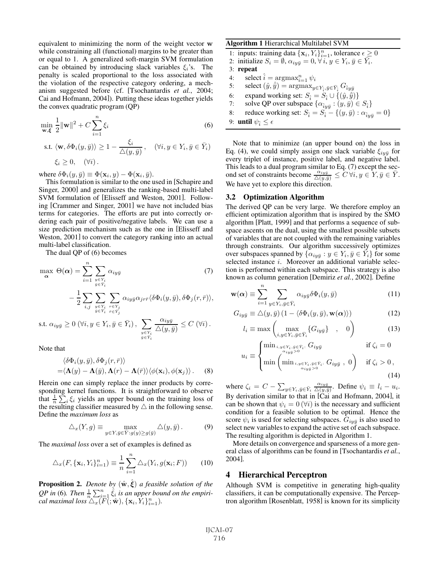equivalent to minimizing the norm of the weight vector **w** while constraining all (functional) margins to be greater than or equal to 1. A generalized soft-margin SVM formulation can be obtained by introducing slack variables  $\xi_i$ 's. The penalty is scaled proportional to the loss associated with the violation of the respective category ordering, a mechanism suggested before (cf. [Tsochantardis *et al.*, 2004; Cai and Hofmann, 2004]). Putting these ideas together yields the convex quadratic program (QP)

$$
\min_{\mathbf{w}, \xi} \frac{1}{2} ||\mathbf{w}||^2 + C \sum_{i=1}^n \xi_i
$$
 (6)

s.t. 
$$
\langle \mathbf{w}, \delta \Phi_i(y, \bar{y}) \rangle \ge 1 - \frac{\xi_i}{\Delta(y, \bar{y})}
$$
,  $(\forall i, y \in Y_i, \bar{y} \in \bar{Y}_i)$   
 $\xi_i \ge 0$ ,  $(\forall i)$ .

where  $\delta \Phi_i(y, \bar{y}) \equiv \Phi(\mathbf{x}_i, y) - \Phi(\mathbf{x}_i, \bar{y}).$ 

This formulation is similar to the one used in [Schapire and Singer, 2000] and generalizes the ranking-based multi-label SVM formulation of [Elisseff and Weston, 2001]. Following [Crammer and Singer, 2001] we have not included bias terms for categories. The efforts are put into correctly ordering each pair of positive/negative labels. We can use a size prediction mechanism such as the one in [Elisseff and Weston, 2001] to convert the category ranking into an actual multi-label classification.

The dual QP of (6) becomes

$$
\max_{\mathbf{\alpha}} \Theta(\mathbf{\alpha}) = \sum_{i=1}^{n} \sum_{\substack{y \in Y_i \\ \overline{y} \in Y_i}} \alpha_{iy\overline{y}} \qquad (7)
$$

$$
- \frac{1}{2} \sum_{i,j} \sum_{\substack{y \in Y_i \\ \overline{y} \in Y_i}} \sum_{\substack{r \in Y_j \\ \overline{r} \in Y_j}} \alpha_{iy\overline{y}} \alpha_{jr\overline{r}} \langle \delta \Phi_i(y, \overline{y}), \delta \Phi_j(r, \overline{r}) \rangle,
$$

s.t.  $\alpha_{iy\bar{y}}\geq0$   $(\forall i, y\in Y_i, \bar{y}\in\bar{Y}_i)$ ,  $\sum_{y\in Y_i}$  $y \in Y_i$ <br> $\bar{y} \in \bar{Y}_i$  $\frac{\alpha_{iy\bar{y}}}{\triangle(y,\bar{y})} \leq C \left(\forall i\right).$ 

Note that

$$
\langle \delta \Phi_i(y, \bar{y}), \delta \Phi_j(r, \bar{r}) \rangle = \langle \mathbf{\Lambda}(y) - \mathbf{\Lambda}(\bar{y}), \mathbf{\Lambda}(r) - \mathbf{\Lambda}(\bar{r}) \rangle \langle \phi(\mathbf{x}_i), \phi(\mathbf{x}_j) \rangle.
$$
 (8)

Herein one can simply replace the inner products by corresponding kernel functions. It is straightforward to observe that  $\frac{1}{n} \sum_{i} \xi_i$  yields an upper bound on the training loss of the resulting classifier measured by  $\wedge$  in the following sense. the resulting classifier measured by  $\triangle$  in the following sense. Define the *maximum loss* as

$$
\triangle_x(Y, g) \equiv \max_{y \in Y, \bar{y} \in \bar{Y} : g(y) \ge g(\bar{y})} \triangle(y, \bar{y}).
$$
\n(9)

The *maximal loss* over a set of examples is defined as

$$
\triangle_x(F, \{\mathbf{x}_i, Y_i\}_{i=1}^n) \equiv \frac{1}{n} \sum_{i=1}^n \triangle_x(Y_i, g(\mathbf{x}_i; F)) \qquad (10)
$$

**Proposition 2.** *Denote by*  $(\hat{\mathbf{w}}, \hat{\boldsymbol{\xi}})$  *a feasible solution of the*<br>*QB* in (6) Than  $\frac{1}{n} \sum_{i=1}^{n} \hat{\boldsymbol{\xi}}$  is an upper bound on the applieir *QP* in (6). Then  $\frac{1}{n} \sum_{i=1}^{n} \hat{\xi}_i$  is an upper bound on the empirical maximal loss  $\bigwedge_{i=1}^{n} (F(\cdot \hat{\mathbf{x}}) \{ \mathbf{x}_i \} \mathbf{Y}_i \}$ <sup>n</sup>. *cal maximal loss*  $\Delta_x(\overline{F}(\cdot; \hat{\mathbf{w}}), {\mathbf{x}_i, Y_i}_{i=1}^n)$ *.* 

#### Algorithm 1 Hierarchical Multilabel SVM

1: inputs: training data 
$$
\{x_i, Y_i\}_{i=1}^n
$$
, tolerance  $\epsilon \ge 0$   
2: initialize  $S_i = \emptyset$   $\alpha_{i,n} = 0$   $\forall i, y \in Y$ ,  $\overline{y} \in \overline{Y}$ .

- 2: initialize  $S_i = \emptyset$ ,  $\alpha_{iy\bar{y}} = 0$ ,  $\forall i, y \in Y_i$ ,  $\bar{y} \in Y_i$ .<br>3: **repeat**
- 3: repeat
- 4: select  $\hat{i} = \argmax_{i=1}^{n} \psi_i$ <br>5: select  $(\hat{y}, \hat{\bar{y}}) = \argmax_{i=1}^{n}$
- 4: select  $i = \arg \max_{i=1}^{\infty} \psi_i$ <br>
5: select  $(\hat{y}, \hat{y}) = \arg \max_{y \in Y_i, \bar{y} \in \bar{Y}_i} G_{\hat{i}y\hat{y}}$
- 6: expand working set:  $S_{\hat{i}} = S_{\hat{i}} \cup \{(\hat{y}, \hat{\bar{y}})\}\$ <br>7: solve QP over subspace  $\{\alpha_{\hat{i},\hat{y}} : (y, \bar{y}) \in$  $y)$ }<br> $\sum_{i=1}^{n}$
- 7: solve QP over subspace  $\{\alpha_{\hat{i}y\hat{y}} : (y, \bar{y}) \in S_{\hat{i}}\}$ <br>8. reduce working set:  $S_i = S_i$ ,  $[(y, \bar{y}) : \alpha_i]$ 8: reduce working set:  $S_{\hat{i}} = S_{\hat{i}} - \{(y, \bar{y}) : \alpha_{\hat{i}y\bar{y}} = 0\}$ <br>9: **until**  $\psi_0 \leq \epsilon$
- 9: **until**  $\psi_{\hat{i}} \leq \epsilon$

Note that to minimize (an upper bound on) the loss in Eq. (4), we could simply assign one slack variable  $\xi_{i\eta\bar{\eta}}$  for every triplet of instance, positive label, and negative label. This leads to a dual program similar to Eq. (7) except the second set of constraints become  $\frac{\alpha_{iy\bar{y}}}{\Delta(y,\bar{y})} \leq C \forall i, y \in Y, \bar{y} \in \bar{Y}$ .<br>We have yet to explore this direction We have yet to explore this direction.

#### 3.2 Optimization Algorithm

The derived QP can be very large. We therefore employ an efficient optimization algorithm that is inspired by the SMO algorithm [Platt, 1999] and that performs a sequence of subspace ascents on the dual, using the smallest possible subsets of variables that are not coupled with the remaining variables through constraints. Our algorithm successively optimizes over subspaces spanned by  $\{\alpha_{iy\bar{y}} : y \in Y_i, \bar{y} \in \bar{Y}_i\}$  for some selected instance *i*. Moreover an additional variable selection is performed within each subspace. This strategy is also known as column generation [Demiriz *et al.*, 2002]. Define

$$
\mathbf{w}(\alpha) \equiv \sum_{i=1}^{n} \sum_{y \in Y_i, \bar{y} \in \bar{Y}_i} \alpha_{iy\bar{y}} \delta \Phi_i(y, \bar{y})
$$
(11)

$$
G_{iy\bar{y}} \equiv \triangle(y,\bar{y}) \left(1 - \langle \delta \Phi_i(y,\bar{y}), \mathbf{w}(\alpha) \rangle \right) \tag{12}
$$

$$
l_i \equiv \max\left(\max_{i,y \in Y_i, \bar{y} \in \bar{Y}_i} \{G_{iy\bar{y}}\} \quad , \quad 0\right) \tag{13}
$$

$$
u_i \equiv \begin{cases} \min_{i,y \in Y_i, \bar{y} \in \bar{Y}_i:} G_{iy\bar{y}} & \text{if } \zeta_i = 0\\ \min_{\alpha_{iy\bar{y}} > 0} \min_{\alpha_{iy\bar{y}} > 0} G_{iy\bar{y}} & 0 \end{cases} \quad \text{if } \zeta_i > 0,
$$
\n
$$
(14)
$$

where  $\zeta_i = C - \sum_{y \in Y_i, \bar{y} \in \bar{Y}_i} \frac{\alpha_{iy\bar{y}}}{\Delta(y, \bar{y})}$ . Define  $\psi_i \equiv l_i - u_i$ . By derivation similar to that in [Cai and Hofmann, 2004], it can be shown that  $\psi_i = 0$  ( $\forall i$ ) is the necessary and sufficient condition for a feasible solution to be optimal. Hence the score  $\psi_i$  is used for selecting subspaces.  $G_{iy\bar{y}}$  is also used to select new variables to expand the active set of each subspace. The resulting algorithm is depicted in Algorithm 1.

More details on convergence and sparseness of a more general class of algorithms can be found in [Tsochantardis *et al.*, 2004].

### 4 Hierarchical Perceptron

Although SVM is competitive in generating high-quality classifiers, it can be computationally expensive. The Perceptron algorithm [Rosenblatt, 1958] is known for its simplicity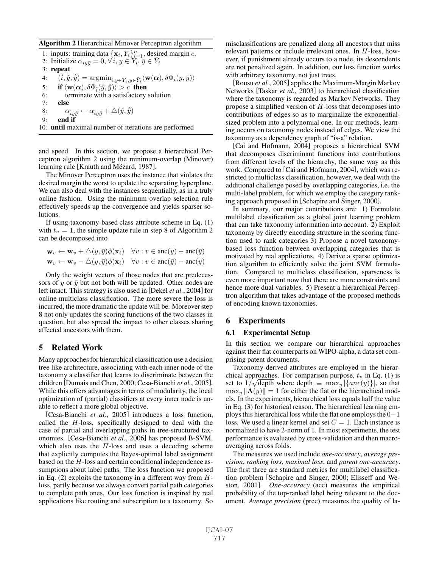#### Algorithm 2 Hierarchical Minover Perceptron algorithm

1: inputs: training data  $\{x_i, Y_i\}_{i=1}^n$ , desired margin *c*.<br>
2: Initialize  $\alpha_{i+1} \equiv 0 \ \forall i \ y \in Y$ .  $\bar{y} \in \bar{Y}$ . 2: Initialize  $\alpha_{iy\bar{y}} = 0, \forall i, y \in Y_i, \bar{y} \in \bar{Y}_i$ 3: repeat 4:  $(\hat{i}, \hat{y}, \hat{\bar{y}}) = \operatorname{argmin}_{i, y \in Y_i, \bar{y} \in \bar{Y}_i} \langle \mathbf{w}(\alpha), \delta \Phi_i(y, \bar{y}) \rangle$ 5: **if**  $\langle \mathbf{w}(\boldsymbol{\alpha}), \delta \Phi_{\hat{i}}(\hat{y}, \hat{y}) \rangle > c$  **then**<br>6: terminate with a satisfactory 6: terminate with a satisfactory solution 7: else 8:  $\alpha_{\hat{i}\hat{y}\hat{\bar{y}}} \leftarrow \alpha_{\hat{i}\hat{y}\hat{\bar{y}}} + \triangle(\hat{y}, \hat{\bar{y}})$ <br>
on and if 9: end if 10: until maximal number of iterations are performed

and speed. In this section, we propose a hierarchical Perceptron algorithm 2 using the minimum-overlap (Minover) learning rule [Krauth and Mézard, 1987].

The Minover Perceptron uses the instance that violates the desired margin the worst to update the separating hyperplane. We can also deal with the instances sequentially, as in a truly online fashion. Using the minimum overlap selection rule effectively speeds up the convergence and yields sparser solutions.

If using taxonomy-based class attribute scheme in Eq. (1) with  $t_v = 1$ , the simple update rule in step 8 of Algorithm 2 can be decomposed into

$$
\mathbf{w}_v \leftarrow \mathbf{w}_v + \triangle(y, \bar{y})\phi(\mathbf{x}_i) \quad \forall v : v \in \text{anc}(y) - \text{anc}(\bar{y})
$$
  

$$
\mathbf{w}_v \leftarrow \mathbf{w}_v - \triangle(y, \bar{y})\phi(\mathbf{x}_i) \quad \forall v : v \in \text{anc}(\bar{y}) - \text{anc}(y)
$$

Only the weight vectors of those nodes that are predecessors of y or  $\bar{y}$  but not both will be updated. Other nodes are left intact. This strategy is also used in [Dekel *et al.*, 2004] for online multiclass classification. The more severe the loss is incurred, the more dramatic the update will be. Moreover step 8 not only updates the scoring functions of the two classes in question, but also spread the impact to other classes sharing affected ancestors with them.

# 5 Related Work

Many approaches for hierarchical classification use a decision tree like architecture, associating with each inner node of the taxonomy a classifier that learns to discriminate between the children [Dumais and Chen, 2000; Cesa-Bianchi *et al.*, 2005]. While this offers advantages in terms of modularity, the local optimization of (partial) classifiers at every inner node is unable to reflect a more global objective.

[Cesa-Bianchi *et al.*, 2005] introduces a loss function, called the  $H$ -loss, specifically designed to deal with the case of partial and overlapping paths in tree-structured taxonomies. [Cesa-Bianchi *et al.*, 2006] has proposed B-SVM, which also uses the  $H$ -loss and uses a decoding scheme that explicitly computes the Bayes-optimal label assignment based on the H-loss and certain conditional independence assumptions about label paths. The loss function we proposed in Eq.  $(2)$  exploits the taxonomy in a different way from  $H$ loss, partly because we always convert partial path categories to complete path ones. Our loss function is inspired by real applications like routing and subscription to a taxonomy. So misclassifications are penalized along all ancestors that miss relevant patterns or include irrelevant ones. In H-loss, however, if punishment already occurs to a node, its descendents are not penalized again. In addition, our loss function works with arbitrary taxonomy, not just trees.

[Rousu *et al.*, 2005] applies the Maximum-Margin Markov Networks [Taskar *et al.*, 2003] to hierarchical classification where the taxonomy is regarded as Markov Networks. They propose a simplified version of  $H$ -loss that decomposes into contributions of edges so as to marginalize the exponentialsized problem into a polynomial one. In our methods, learning occurs on taxonomy nodes instead of edges. We view the taxonomy as a dependency graph of "is-a" relation.

[Cai and Hofmann, 2004] proposes a hierarchical SVM that decomposes discriminant functions into contributions from different levels of the hierarchy, the same way as this work. Compared to [Cai and Hofmann, 2004], which was restricted to multiclass classification, however, we deal with the additional challenge posed by overlapping categories, i.e. the multi-label problem, for which we employ the category ranking approach proposed in [Schapire and Singer, 2000].

In summary, our major contributions are: 1) Formulate multilabel classification as a global joint learning problem that can take taxonomy information into account. 2) Exploit taxonomy by directly encoding structure in the scoring function used to rank categories 3) Propose a novel taxonomybased loss function between overlapping categories that is motivated by real applications. 4) Derive a sparse optimization algorithm to efficiently solve the joint SVM formulation. Compared to multiclass classification, sparseness is even more important now that there are more constraints and hence more dual variables. 5) Present a hierarchical Perceptron algorithm that takes advantage of the proposed methods of encoding known taxonomies.

## 6 Experiments

#### 6.1 Experimental Setup

In this section we compare our hierarchical approaches against their flat counterparts on WIPO-alpha, a data set comprising patent documents.

Taxonomy-derived attributes are employed in the hierarchical approaches. For comparison purpose,  $t<sub>v</sub>$  in Eq. (1) is set to  $1/\sqrt{\text{depth}}$  where depth  $\equiv \max_y |\{anc(y)\}\|$ , so that<br>max.  $||\Lambda(y)|| = 1$  for either the flat or the hierarchical mod- $\max_{y} \|\mathbf{\Lambda}(y)\| = 1$  for either the flat or the hierarchical models. In the experiments, hierarchical loss equals half the value in Eq. (3) for historical reason. The hierarchical learning employs this hierarchical loss while the flat one employs the 0−1 loss. We used a linear kernel and set  $C = 1$ . Each instance is normalized to have 2-norm of 1. In most experiments, the test performance is evaluated by cross-validation and then macroaveraging across folds.

The measures we used include *one-accuracy*, *average precision*, *ranking loss*, *maximal loss*, and *parent one-accuracy*. The first three are standard metrics for multilabel classification problem [Schapire and Singer, 2000; Elisseff and Weston, 2001]. *One-accuracy* (acc) measures the empirical probability of the top-ranked label being relevant to the document. *Average precision* (prec) measures the quality of la-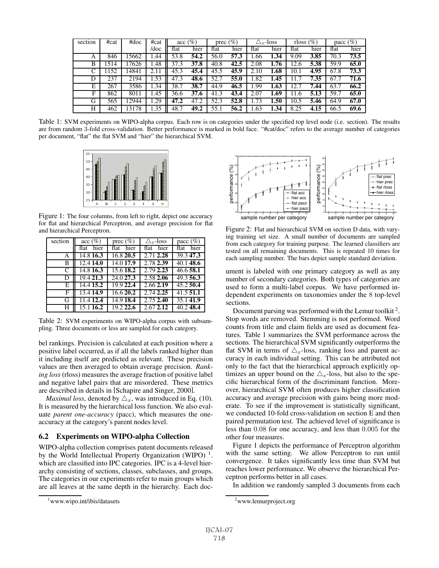| section | #cat | #doc  | #cat | $\sec(\%)$ |      | prec $(\%)$ |      |      | $\triangle_x$ -loss | rloss $(\%)$ |      | pacc $(\%)$ |      |
|---------|------|-------|------|------------|------|-------------|------|------|---------------------|--------------|------|-------------|------|
|         |      |       | /doc | flat       | hier | flat        | hier | flat | hier                | flat         | hier | flat        | hier |
| A       | 846  | 15662 | .44  | 53.8       | 54.2 | 56.0        | 57.3 | 1.66 | 1.34                | 9.09         | 3.85 | 70.3        | 73.5 |
| B       | 1514 | 17626 | 1.48 | 37.3       | 37.8 | 40.8        | 42.5 | 2.08 | 1.76                | 12.6         | 5.38 | 59.9        | 65.0 |
| ⌒       | 152  | 14841 |      | 45.3       | 45.4 | 45.5        | 45.9 | 2.10 | 1.68                | 10.1         | 4.95 | 67.8        | 73.3 |
| D       | 237  | 2194  | l.53 | 47.3       | 48.6 | 52.7        | 55.0 | 1.82 | 1.45                |              | 7.35 | 67.7        | 71.6 |
| E       | 267  | 3586  | 1.34 | 38.7       | 38.7 | 44.9        | 46.5 | 1.99 | 1.63                | 12.          | 7.44 | 63.7        | 66.2 |
| F       | 862  | 8011  | .45  | 36.6       | 37.6 | 41.3        | 43.4 | 2.07 | 1.69                | 11.6         | 5.13 | 59.7        | 65.0 |
| G       | 565  | 12944 | .29  | 47.2       | 47.2 | 52.3        | 52.8 | 1.73 | $1.50\,$            | 10.5         | 5.46 | 64.9        | 67.0 |
| Н       | 462  | 13178 | l.35 | 48.7       | 49.2 | 55.1        | 56.2 | 1.63 | 1.34                | 8.25         | 4.15 | 66.5        | 69.6 |

Table 1: SVM experiments on WIPO-alpha corpus. Each row is on categories under the specified top level node (i.e. section). The results are from random 3-fold cross-validation. Better performance is marked in bold face. "#cat/doc" refers to the average number of categories per document, "flat" the flat SVM and "hier" the hierarchical SVM.



Figure 1: The four columns, from left to right, depict one accuracy for flat and hierarchical Perceptron, and average precision for flat and hierarchical Perceptron.

| section | $\sec(\%)$ | prec $(\%)$ | $\triangle$ -loss | pacc $(\%)$            |
|---------|------------|-------------|-------------------|------------------------|
|         | flat hier  | flat hier   | flat hier         | flat hier              |
| A       | 14.8 16.3  | 16.8 20.5   | 2.71 2.28         | 39.347.3               |
| В       | 12.4 14.0  | 14.0 17.9   | 2.78 2.39         | 40.148.6               |
| C       | 14.8 16.3  | 15.6 18.2   | 2.79 2.23         | 46.658.1               |
| D       | 19.4 21.3  | 24.0 27.3   | 2.58 2.06         | 49.356.3               |
| Е       | 14.4 15.2  | 19.9 22.4   | 2.66 2.19         | $\overline{45.2}$ 50.4 |
| F       | 13.4 14.9  | 16.620.2    | 2.74 2.25         | 41.551.1               |
| G       | 11.4 12.4  | 14.9 18.4   | 2.75 2.40         | 35.141.9               |
| Н       | 15.1 16.2  | 19.2 22.6   | $2.67$ $2.12$     | 40.248.4               |

Table 2: SVM experiments on WIPO-alpha corpus with subsampling. Three documents or less are sampled for each category.

bel rankings. Precision is calculated at each position where a positive label occurred, as if all the labels ranked higher than it including itself are predicted as relevant. These precision values are then averaged to obtain average precision. *Ranking loss* (rloss) measures the average fraction of positive label and negative label pairs that are misordered. These metrics are described in details in [Schapire and Singer, 2000].

*Maximal loss*, denoted by  $\triangle_x$ , was introduced in Eq. (10). It is measured by the hierarchical loss function. We also evaluate *parent one-accuracy* (pacc), which measures the oneaccuracy at the category's parent nodes level.

#### 6.2 Experiments on WIPO-alpha Collection

WIPO-alpha collection comprises patent documents released by the World Intellectual Property Organization (WIPO)<sup> $1$ </sup>. which are classified into IPC categories. IPC is a 4-level hierarchy consisting of sections, classes, subclasses, and groups. The categories in our experiments refer to main groups which are all leaves at the same depth in the hierarchy. Each doc-



Figure 2: Flat and hierarchical SVM on section D data, with varying training set size. A small number of documents are sampled from each category for training purpose. The learned classifiers are tested on all remaining documents. This is repeated 10 times for each sampling number. The bars depict sample standard deviation.

ument is labeled with one primary category as well as any number of secondary categories. Both types of categories are used to form a multi-label corpus. We have performed independent experiments on taxonomies under the 8 top-level sections.

Document parsing was performed with the Lemur toolkit<sup>2</sup>. Stop words are removed. Stemming is not performed. Word counts from title and claim fields are used as document features. Table 1 summarizes the SVM performance across the sections. The hierarchical SVM significantly outperforms the flat SVM in terms of  $\triangle_x$ -loss, ranking loss and parent accuracy in each individual setting. This can be attributed not only to the fact that the hierarchical approach explicitly optimizes an upper bound on the  $\Delta_x$ -loss, but also to the specific hierarchical form of the discriminant function. Moreover, hierarchical SVM often produces higher classification accuracy and average precision with gains being more moderate. To see if the improvement is statistically significant, we conducted 10-fold cross-validation on section E and then paired permutation test. The achieved level of significance is less than 0.08 for one accuracy, and less than 0.005 for the other four measures.

Figure 1 depicts the performance of Perceptron algorithm with the same setting. We allow Perceptron to run until convergence. It takes significantly less time than SVM but reaches lower performance. We observe the hierarchical Perceptron performs better in all cases.

In addition we randomly sampled 3 documents from each

<sup>1</sup> www.wipo.int/ibis/datasets

<sup>&</sup>lt;sup>2</sup>www.lemurproject.org